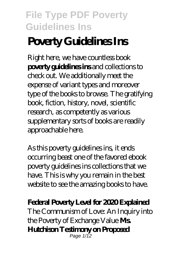# **Poverty Guidelines Ins**

Right here, we have countless book **poverty guidelines ins** and collections to check out. We additionally meet the expense of variant types and moreover type of the books to browse. The gratifying book, fiction, history, novel, scientific research, as competently as various supplementary sorts of books are readily approachable here.

As this poverty guidelines ins, it ends occurring beast one of the favored ebook poverty guidelines ins collections that we have. This is why you remain in the best website to see the amazing books to have.

#### **Federal Poverty Level for 2020 Explained**

*The Communism of Love: An Inquiry into the Poverty of Exchange Value* **Ms. Hutchison Testimony on Proposed** Page 1/12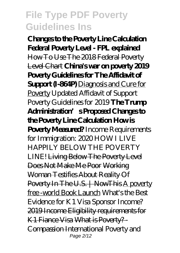**Changes to the Poverty Line Calculation** Federal Poverty Level - FPL explained How To Use The 2018 Federal Poverty Level Chart **China's war on poverty 2019 Poverty Guidelines for The Affidavit of Support (I-864P)** Diagnosis and Cure for Poverty Updated Affidavit of Support Poverty Guidelines for 2019 **The Trump Administration's Proposed Changes to the Poverty Line Calculation How is Poverty Measured?** *Income Requirements for Immigration: 2020* HOW I LIVE HAPPILY BELOW THE POVERTY LINE! Living Below The Poverty Level Does Not Make Me Poor Working Woman Testifies About Reality Of Poverty In The U.S. | NowThis A poverty free -world Book Launch What's the Best Evidence for K1 Visa Sponsor Income? 2019 Income Eligibility requirements for K1 Fiance Visa What is Poverty? - Compassion International *Poverty and* Page 2/12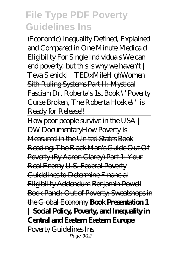*(Economic) Inequality Defined, Explained and Compared in One Minute Medicaid Eligibility For Single Individuals* We can end poverty, but this is why we haven't | Teva Sienicki | TEDxMileHighWomen Sith Ruling Systems Part II: Mystical Fascism Dr. Roberta's 1st Book \"Poverty Curse Broken, The Roberta Hoskie\" is Ready for Release!!

How poor people survive in the USA | DW Documentary How Poverty is Measured in the United States Book Reading: The Black Man's Guide Out Of Poverty (By Aaron Clarey) Part 1: Your Real Enemy U.S. Federal Poverty Guidelines to Determine Financial Eligibility Addendum Benjamin Powell Book Panel: Out of Poverty: Sweatshops in the Global Economy **Book Presentation 1 | Social Policy, Poverty, and Inequality in Central and Eastern Eastern Europe** Poverty Guidelines Ins Page 3/12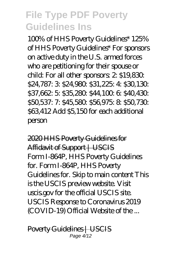100% of HHS Poverty Guidelines\* 125% of HHS Poverty Guidelines\* For sponsors on active duty in the U.S. armed forces who are petitioning for their spouse or child: For all other sponsors: 2: \$19,830: \$24,787: 3: \$24,980: \$31,225: 4: \$30,130: \$37,662: 5: \$35,280: \$44,100: 6: \$40,430. \$50,537: 7: \$45,580: \$56,975: 8: \$50,730 \$63,412 Add \$5,150 for each additional person

2020 HHS Poverty Guidelines for Affidavit of Support | USCIS Form I-864P, HHS Poverty Guidelines for. Form I-864P, HHS Poverty Guidelines for. Skip to main content This is the USCIS preview website. Visit uscis.gov for the official USCIS site. USCIS Response to Coronavirus 2019 (COVID-19) Official Website of the ...

Poverty Guidelines | USCIS Page 4/12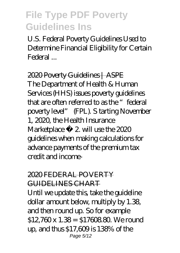U.S. Federal Poverty Guidelines Used to Determine Financial Eligibility for Certain Federal ...

2020 Poverty Guidelines | ASPE The Department of Health & Human Services (HHS) issues poverty guidelines that are often referred to as the "federal poverty level" (FPL). S tarting November 1, 2020, the Health Insurance Marketplace  $\mathbb{R}$  2 will use the 2020 guidelines when making calculations for advance payments of the premium tax credit and income-

#### 2020 FEDERAL POVERTY GUIDELINES CHART

Until we update this, take the guideline dollar amount below, multiply by 1.38, and then round up. So for example \$12,760 x 1.38 = \$1760 880. We round up, and thus \$17,609 is 138% of the Page 5/12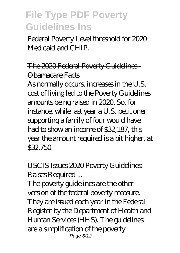Federal Poverty Level threshold for 2020 Medicaid and CHIP.

#### The 2020 Federal Poverty Guidelines Obamacare Facts

As normally occurs, increases in the U.S. cost of living led to the Poverty Guidelines amounts being raised in 2020. So, for instance, while last year a U.S. petitioner supporting a family of four would have had to show an income of \$32,187, this year the amount required is a bit higher, at \$32,750.

USCIS Issues 2020 Poverty Guidelines: Raises Required ...

The poverty guidelines are the other version of the federal poverty measure. They are issued each year in the Federal Register by the Department of Health and Human Services (HHS). The guidelines are a simplification of the poverty Page 6/12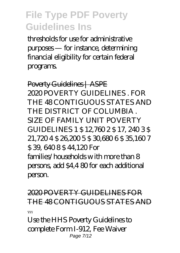thresholds for use for administrative purposes — for instance, determining financial eligibility for certain federal programs.

Poverty Guidelines | ASPE 2020 POVERTY GUIDELINES FOR THE 48 CONTIGUOUS STATES AND THE DISTRICT OF COLUMBIA . SIZE OF FAMILY UNIT POVERTY GUIDELINES 1 \$ 12760 2 \$ 17, 240 3 \$ 21,720 4 \$ 26,200 5 \$ 30,680 6 \$ 35,160 7 \$ 39, 640 8 \$ 44,120 For  $f$ amilies/households with more than  $8$ persons, add \$4,4 80 for each additional person.

2020 POVERTY GUIDELINES FOR THE 48 CONTIGUOUS STATES AND ... Use the HHS Poverty Guidelines to

complete Form I-912, Fee Waiver Page 7/12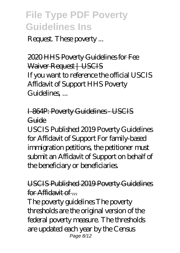Request. These poverty ...

2020 HHS Poverty Guidelines for Fee Waiver Request | USCIS If you want to reference the official USCIS Affidavit of Support HHS Poverty Guidelines, ...

#### I-864P: Poverty Guidelines - USCIS Guide

USCIS Published 2019 Poverty Guidelines for Affidavit of Support For family-based immigration petitions, the petitioner must submit an Affidavit of Support on behalf of the beneficiary or beneficiaries.

#### USCIS Published 2019 Poverty Guidelines for Affidavit of ...

The poverty guidelines The poverty thresholds are the original version of the federal poverty measure. The thresholds are updated each year by the Census Page 8/12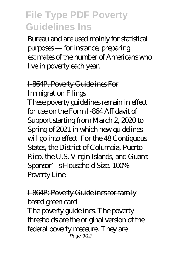Bureau and are used mainly for statistical purposes — for instance, preparing estimates of the number of Americans who live in poverty each year.

#### I-864P, Poverty Guidelines For Immigration Filings

These poverty guidelines remain in effect for use on the Form I-864 Affidavit of Support starting from March 2, 2020 to Spring of 2021 in which new guidelines will go into effect. For the 48 Contiguous States, the District of Columbia, Puerto Rico, the U.S. Virgin Islands, and Guam: Sponsor's Household Size. 100% Poverty Line.

I-864P: Poverty Guidelines for family based green card The poverty guidelines. The poverty thresholds are the original version of the federal poverty measure. They are Page 9/12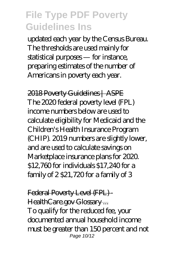updated each year by the Census Bureau. The thresholds are used mainly for statistical purposes — for instance, preparing estimates of the number of Americans in poverty each year.

2018 Poverty Guidelines | ASPE The 2020 federal poverty level (FPL) income numbers below are used to calculate eligibility for Medicaid and the Children's Health Insurance Program (CHIP). 2019 numbers are slightly lower, and are used to calculate savings on Marketplace insurance plans for 2020. \$12,760 for individuals \$17,240 for a family of  $2$  \$21,720 for a family of  $3$ 

Federal Poverty Level (FPL) -HealthCare.gov Glossary... To qualify for the reduced fee, your documented annual household income must be greater than 150 percent and not Page 10/12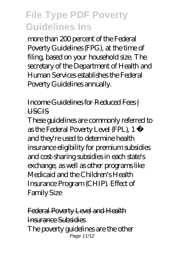more than 200 percent of the Federal Poverty Guidelines (FPG), at the time of filing, based on your household size. The secretary of the Department of Health and Human Services establishes the Federal Poverty Guidelines annually.

Income Guidelines for Reduced Fees | **LISCIS** 

These guidelines are commonly referred to as the Federal Poverty Level (FPL), 1 and they're used to determine health insurance eligibility for premium subsidies and cost-sharing subsidies in each state's exchange, as well as other programs like Medicaid and the Children's Health Insurance Program (CHIP). Effect of Family Size

Federal Poverty Level and Health Insurance Subsidies The poverty guidelines are the other Page 11/12